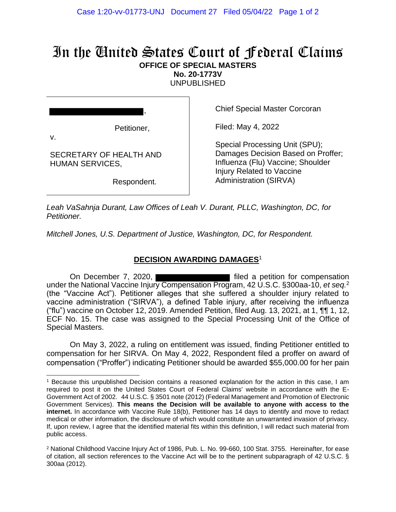## In the United States Court of Federal Claims **OFFICE OF SPECIAL MASTERS**

**No. 20-1773V**

UNPUBLISHED

|    | ,           |  |
|----|-------------|--|
|    | Petitioner, |  |
| v. |             |  |

Respondent.

SECRETARY OF HEALTH AND

HUMAN SERVICES,

Chief Special Master Corcoran

Filed: May 4, 2022

Special Processing Unit (SPU); Damages Decision Based on Proffer; Influenza (Flu) Vaccine; Shoulder Injury Related to Vaccine Administration (SIRVA)

*Leah VaSahnja Durant, Law Offices of Leah V. Durant, PLLC, Washington, DC, for Petitioner.*

*Mitchell Jones, U.S. Department of Justice, Washington, DC, for Respondent.*

## **DECISION AWARDING DAMAGES**<sup>1</sup>

On December 7, 2020, under the National Vaccine Injury Compensation Program, 42 U.S.C. §300aa-10, *et seq.*<sup>2</sup> (the "Vaccine Act"). Petitioner alleges that she suffered a shoulder injury related to vaccine administration ("SIRVA"), a defined Table injury, after receiving the influenza ("flu") vaccine on October 12, 2019. Amended Petition, filed Aug. 13, 2021, at 1, ¶¶ 1, 12, ECF No. 15. The case was assigned to the Special Processing Unit of the Office of Special Masters.

On May 3, 2022, a ruling on entitlement was issued, finding Petitioner entitled to compensation for her SIRVA. On May 4, 2022, Respondent filed a proffer on award of compensation ("Proffer") indicating Petitioner should be awarded \$55,000.00 for her pain

<sup>1</sup> Because this unpublished Decision contains a reasoned explanation for the action in this case, I am required to post it on the United States Court of Federal Claims' website in accordance with the E-Government Act of 2002. 44 U.S.C. § 3501 note (2012) (Federal Management and Promotion of Electronic Government Services). **This means the Decision will be available to anyone with access to the internet.** In accordance with Vaccine Rule 18(b), Petitioner has 14 days to identify and move to redact medical or other information, the disclosure of which would constitute an unwarranted invasion of privacy. If, upon review, I agree that the identified material fits within this definition, I will redact such material from public access.

<sup>2</sup> National Childhood Vaccine Injury Act of 1986, Pub. L. No. 99-660, 100 Stat. 3755. Hereinafter, for ease of citation, all section references to the Vaccine Act will be to the pertinent subparagraph of 42 U.S.C. § 300aa (2012).